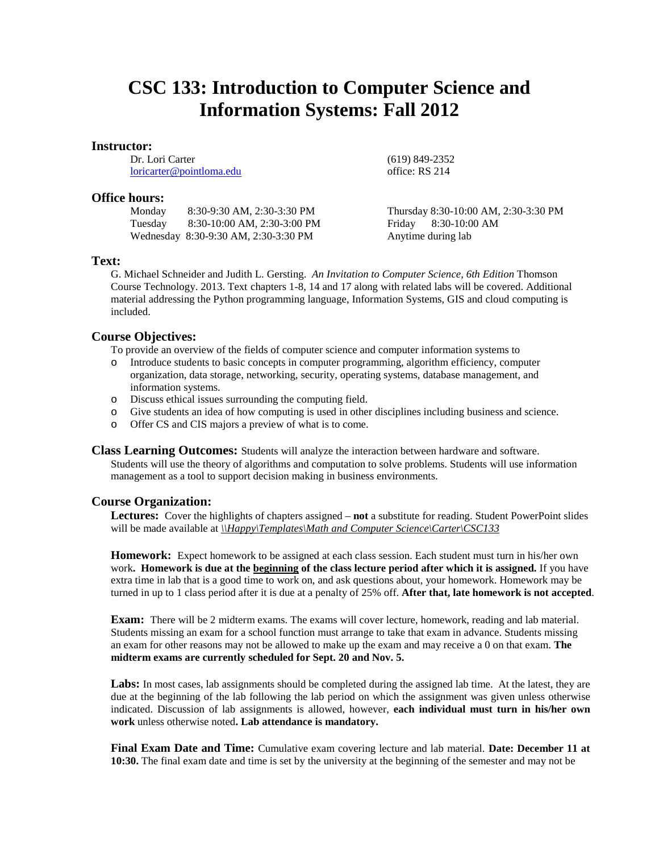# **CSC 133: Introduction to Computer Science and Information Systems: Fall 2012**

#### **Instructor:**

Dr. Lori Carter [loricarter@pointloma.edu](mailto:loricarter@pointloma.edu)

#### **Office hours:**

| Monday  | 8:30-9:30 AM, 2:30-3:30 PM           |
|---------|--------------------------------------|
| Tuesday | 8:30-10:00 AM, 2:30-3:00 PM          |
|         | Wednesday 8:30-9:30 AM, 2:30-3:30 PM |

## **Text:**

G. Michael Schneider and Judith L. Gersting. *An Invitation to Computer Science, 6th Edition* Thomson Course Technology. 2013. Text chapters 1-8, 14 and 17 along with related labs will be covered. Additional material addressing the Python programming language, Information Systems, GIS and cloud computing is included.

#### **Course Objectives:**

To provide an overview of the fields of computer science and computer information systems to

- o Introduce students to basic concepts in computer programming, algorithm efficiency, computer organization, data storage, networking, security, operating systems, database management, and information systems.
- o Discuss ethical issues surrounding the computing field.
- o Give students an idea of how computing is used in other disciplines including business and science.
- o Offer CS and CIS majors a preview of what is to come.

**Class Learning Outcomes:** Students will analyze the interaction between hardware and software. Students will use the theory of algorithms and computation to solve problems. Students will use information management as a tool to support decision making in business environments.

#### **Course Organization:**

**Lectures:** Cover the highlights of chapters assigned – **not** a substitute for reading. Student PowerPoint slides will be made available at  $\hbar$ *Happy\Templates\Math and Computer Science\Carter\CSC133* 

**Homework:** Expect homework to be assigned at each class session. Each student must turn in his/her own work**. Homework is due at the beginning of the class lecture period after which it is assigned.** If you have extra time in lab that is a good time to work on, and ask questions about, your homework. Homework may be turned in up to 1 class period after it is due at a penalty of 25% off. **After that, late homework is not accepted**.

**Exam:** There will be 2 midterm exams. The exams will cover lecture, homework, reading and lab material. Students missing an exam for a school function must arrange to take that exam in advance. Students missing an exam for other reasons may not be allowed to make up the exam and may receive a 0 on that exam. **The midterm exams are currently scheduled for Sept. 20 and Nov. 5.**

Labs: In most cases, lab assignments should be completed during the assigned lab time. At the latest, they are due at the beginning of the lab following the lab period on which the assignment was given unless otherwise indicated. Discussion of lab assignments is allowed, however, **each individual must turn in his/her own work** unless otherwise noted**. Lab attendance is mandatory.**

**Final Exam Date and Time:** Cumulative exam covering lecture and lab material. **Date: December 11 at 10:30.** The final exam date and time is set by the university at the beginning of the semester and may not be

(619) 849-2352 office: RS 214

Thursday 8:30-10:00 AM, 2:30-3:30 PM Friday 8:30-10:00 AM Anytime during lab